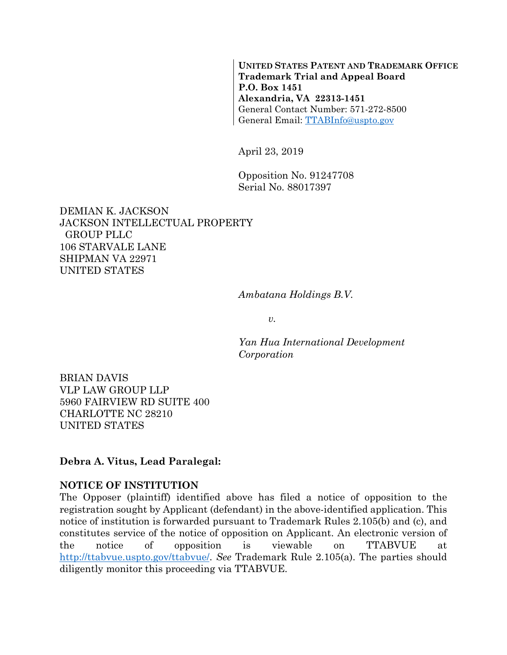**UNITED STATES PATENT AND TRADEMARK OFFICE Trademark Trial and Appeal Board P.O. Box 1451 Alexandria, VA 22313-1451**  General Contact Number: 571-272-8500 General Email: TTABInfo@uspto.gov

April 23, 2019

Opposition No. 91247708 Serial No. 88017397

DEMIAN K. JACKSON JACKSON INTELLECTUAL PROPERTY GROUP PLLC 106 STARVALE LANE SHIPMAN VA 22971 UNITED STATES

*Ambatana Holdings B.V.* 

*v.* 

*Yan Hua International Development Corporation* 

BRIAN DAVIS VLP LAW GROUP LLP 5960 FAIRVIEW RD SUITE 400 CHARLOTTE NC 28210 UNITED STATES

**Debra A. Vitus, Lead Paralegal:** 

#### **NOTICE OF INSTITUTION**

The Opposer (plaintiff) identified above has filed a notice of opposition to the registration sought by Applicant (defendant) in the above-identified application. This notice of institution is forwarded pursuant to Trademark Rules 2.105(b) and (c), and constitutes service of the notice of opposition on Applicant. An electronic version of the notice of opposition is viewable on TTABVUE at http://ttabvue.uspto.gov/ttabvue/. *See* Trademark Rule 2.105(a). The parties should diligently monitor this proceeding via TTABVUE.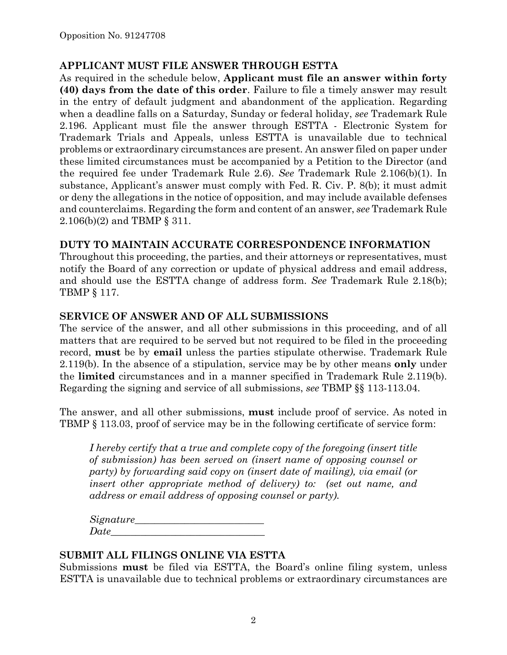### **APPLICANT MUST FILE ANSWER THROUGH ESTTA**

As required in the schedule below, **Applicant must file an answer within forty (40) days from the date of this order**. Failure to file a timely answer may result in the entry of default judgment and abandonment of the application. Regarding when a deadline falls on a Saturday, Sunday or federal holiday, *see* Trademark Rule 2.196. Applicant must file the answer through ESTTA - Electronic System for Trademark Trials and Appeals, unless ESTTA is unavailable due to technical problems or extraordinary circumstances are present. An answer filed on paper under these limited circumstances must be accompanied by a Petition to the Director (and the required fee under Trademark Rule 2.6). *See* Trademark Rule 2.106(b)(1). In substance, Applicant's answer must comply with Fed. R. Civ. P. 8(b); it must admit or deny the allegations in the notice of opposition, and may include available defenses and counterclaims. Regarding the form and content of an answer, *see* Trademark Rule 2.106(b)(2) and TBMP § 311.

### **DUTY TO MAINTAIN ACCURATE CORRESPONDENCE INFORMATION**

Throughout this proceeding, the parties, and their attorneys or representatives, must notify the Board of any correction or update of physical address and email address, and should use the ESTTA change of address form. *See* Trademark Rule 2.18(b); TBMP § 117.

#### **SERVICE OF ANSWER AND OF ALL SUBMISSIONS**

The service of the answer, and all other submissions in this proceeding, and of all matters that are required to be served but not required to be filed in the proceeding record, **must** be by **email** unless the parties stipulate otherwise. Trademark Rule 2.119(b). In the absence of a stipulation, service may be by other means **only** under the **limited** circumstances and in a manner specified in Trademark Rule 2.119(b). Regarding the signing and service of all submissions, *see* TBMP §§ 113-113.04.

The answer, and all other submissions, **must** include proof of service. As noted in TBMP § 113.03, proof of service may be in the following certificate of service form:

*I hereby certify that a true and complete copy of the foregoing (insert title of submission) has been served on (insert name of opposing counsel or party) by forwarding said copy on (insert date of mailing), via email (or insert other appropriate method of delivery) to: (set out name, and address or email address of opposing counsel or party).* 

*Signature\_\_\_\_\_\_\_\_\_\_\_\_\_\_\_\_\_\_\_\_\_\_\_\_\_\_*   $Date$ 

#### **SUBMIT ALL FILINGS ONLINE VIA ESTTA**

Submissions **must** be filed via ESTTA, the Board's online filing system, unless ESTTA is unavailable due to technical problems or extraordinary circumstances are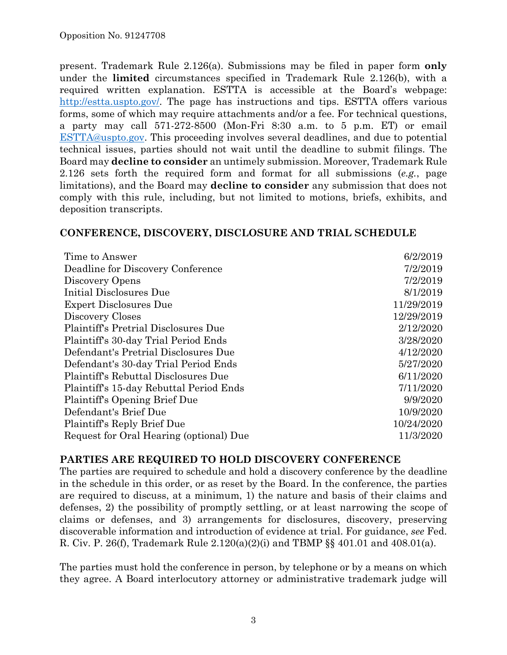present. Trademark Rule 2.126(a). Submissions may be filed in paper form **only** under the **limited** circumstances specified in Trademark Rule 2.126(b), with a required written explanation. ESTTA is accessible at the Board's webpage: http://estta.uspto.gov/. The page has instructions and tips. ESTTA offers various forms, some of which may require attachments and/or a fee. For technical questions, a party may call 571-272-8500 (Mon-Fri 8:30 a.m. to 5 p.m. ET) or email ESTTA@uspto.gov. This proceeding involves several deadlines, and due to potential technical issues, parties should not wait until the deadline to submit filings. The Board may **decline to consider** an untimely submission. Moreover, Trademark Rule 2.126 sets forth the required form and format for all submissions (*e.g.*, page limitations), and the Board may **decline to consider** any submission that does not comply with this rule, including, but not limited to motions, briefs, exhibits, and deposition transcripts.

#### **CONFERENCE, DISCOVERY, DISCLOSURE AND TRIAL SCHEDULE**

| Time to Answer                              | 6/2/2019   |
|---------------------------------------------|------------|
| Deadline for Discovery Conference           | 7/2/2019   |
| Discovery Opens                             | 7/2/2019   |
| Initial Disclosures Due                     | 8/1/2019   |
| <b>Expert Disclosures Due</b>               | 11/29/2019 |
| Discovery Closes                            | 12/29/2019 |
| <b>Plaintiff's Pretrial Disclosures Due</b> | 2/12/2020  |
| Plaintiff's 30-day Trial Period Ends        | 3/28/2020  |
| Defendant's Pretrial Disclosures Due        | 4/12/2020  |
| Defendant's 30-day Trial Period Ends        | 5/27/2020  |
| Plaintiff's Rebuttal Disclosures Due        | 6/11/2020  |
| Plaintiff's 15-day Rebuttal Period Ends     | 7/11/2020  |
| Plaintiff's Opening Brief Due               | 9/9/2020   |
| Defendant's Brief Due                       | 10/9/2020  |
| Plaintiff's Reply Brief Due                 | 10/24/2020 |
| Request for Oral Hearing (optional) Due     | 11/3/2020  |

#### **PARTIES ARE REQUIRED TO HOLD DISCOVERY CONFERENCE**

The parties are required to schedule and hold a discovery conference by the deadline in the schedule in this order, or as reset by the Board. In the conference, the parties are required to discuss, at a minimum, 1) the nature and basis of their claims and defenses, 2) the possibility of promptly settling, or at least narrowing the scope of claims or defenses, and 3) arrangements for disclosures, discovery, preserving discoverable information and introduction of evidence at trial. For guidance, *see* Fed. R. Civ. P. 26(f), Trademark Rule 2.120(a)(2)(i) and TBMP §§ 401.01 and 408.01(a).

The parties must hold the conference in person, by telephone or by a means on which they agree. A Board interlocutory attorney or administrative trademark judge will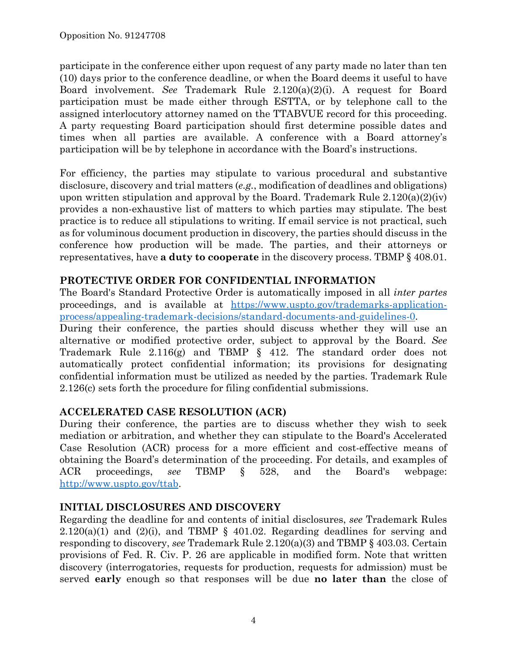participate in the conference either upon request of any party made no later than ten (10) days prior to the conference deadline, or when the Board deems it useful to have Board involvement. *See* Trademark Rule 2.120(a)(2)(i). A request for Board participation must be made either through ESTTA, or by telephone call to the assigned interlocutory attorney named on the TTABVUE record for this proceeding. A party requesting Board participation should first determine possible dates and times when all parties are available. A conference with a Board attorney's participation will be by telephone in accordance with the Board's instructions.

For efficiency, the parties may stipulate to various procedural and substantive disclosure, discovery and trial matters (*e.g.*, modification of deadlines and obligations) upon written stipulation and approval by the Board. Trademark Rule  $2.120(a)(2)(iv)$ provides a non-exhaustive list of matters to which parties may stipulate. The best practice is to reduce all stipulations to writing. If email service is not practical, such as for voluminous document production in discovery, the parties should discuss in the conference how production will be made. The parties, and their attorneys or representatives, have **a duty to cooperate** in the discovery process. TBMP § 408.01.

# **PROTECTIVE ORDER FOR CONFIDENTIAL INFORMATION**

The Board's Standard Protective Order is automatically imposed in all *inter partes* proceedings, and is available at https://www.uspto.gov/trademarks-applicationprocess/appealing-trademark-decisions/standard-documents-and-guidelines-0.

During their conference, the parties should discuss whether they will use an alternative or modified protective order, subject to approval by the Board. *See* Trademark Rule 2.116(g) and TBMP § 412. The standard order does not automatically protect confidential information; its provisions for designating confidential information must be utilized as needed by the parties. Trademark Rule 2.126(c) sets forth the procedure for filing confidential submissions.

# **ACCELERATED CASE RESOLUTION (ACR)**

During their conference, the parties are to discuss whether they wish to seek mediation or arbitration, and whether they can stipulate to the Board's Accelerated Case Resolution (ACR) process for a more efficient and cost-effective means of obtaining the Board's determination of the proceeding. For details, and examples of ACR proceedings, *see* TBMP § 528, and the Board's webpage: http://www.uspto.gov/ttab.

# **INITIAL DISCLOSURES AND DISCOVERY**

Regarding the deadline for and contents of initial disclosures, *see* Trademark Rules  $2.120(a)(1)$  and  $(2)(i)$ , and TBMP § 401.02. Regarding deadlines for serving and responding to discovery, *see* Trademark Rule 2.120(a)(3) and TBMP § 403.03. Certain provisions of Fed. R. Civ. P. 26 are applicable in modified form. Note that written discovery (interrogatories, requests for production, requests for admission) must be served **early** enough so that responses will be due **no later than** the close of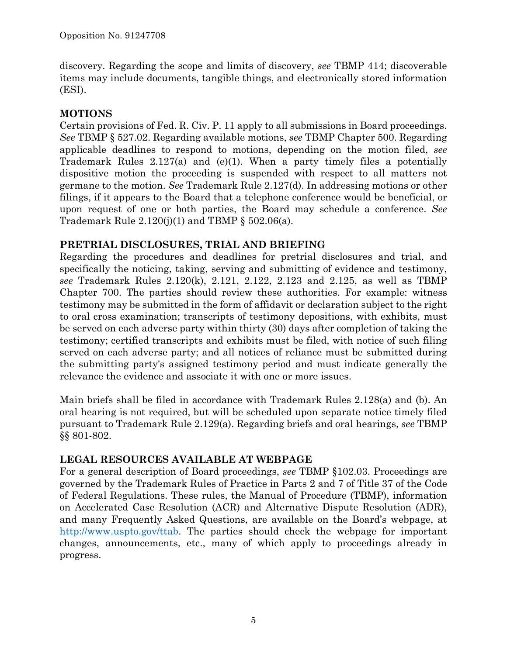discovery. Regarding the scope and limits of discovery, *see* TBMP 414; discoverable items may include documents, tangible things, and electronically stored information (ESI).

# **MOTIONS**

Certain provisions of Fed. R. Civ. P. 11 apply to all submissions in Board proceedings. *See* TBMP § 527.02. Regarding available motions, *see* TBMP Chapter 500. Regarding applicable deadlines to respond to motions, depending on the motion filed, *see* Trademark Rules 2.127(a) and (e)(1). When a party timely files a potentially dispositive motion the proceeding is suspended with respect to all matters not germane to the motion. *See* Trademark Rule 2.127(d). In addressing motions or other filings, if it appears to the Board that a telephone conference would be beneficial, or upon request of one or both parties, the Board may schedule a conference. *See* Trademark Rule  $2.120(j)(1)$  and TBMP § 502.06(a).

# **PRETRIAL DISCLOSURES, TRIAL AND BRIEFING**

Regarding the procedures and deadlines for pretrial disclosures and trial, and specifically the noticing, taking, serving and submitting of evidence and testimony, *see* Trademark Rules 2.120(k), 2.121, 2.122, 2.123 and 2.125, as well as TBMP Chapter 700. The parties should review these authorities. For example: witness testimony may be submitted in the form of affidavit or declaration subject to the right to oral cross examination; transcripts of testimony depositions, with exhibits, must be served on each adverse party within thirty (30) days after completion of taking the testimony; certified transcripts and exhibits must be filed, with notice of such filing served on each adverse party; and all notices of reliance must be submitted during the submitting party's assigned testimony period and must indicate generally the relevance the evidence and associate it with one or more issues.

Main briefs shall be filed in accordance with Trademark Rules 2.128(a) and (b). An oral hearing is not required, but will be scheduled upon separate notice timely filed pursuant to Trademark Rule 2.129(a). Regarding briefs and oral hearings, *see* TBMP §§ 801-802.

# **LEGAL RESOURCES AVAILABLE AT WEBPAGE**

For a general description of Board proceedings, *see* TBMP §102.03. Proceedings are governed by the Trademark Rules of Practice in Parts 2 and 7 of Title 37 of the Code of Federal Regulations. These rules, the Manual of Procedure (TBMP), information on Accelerated Case Resolution (ACR) and Alternative Dispute Resolution (ADR), and many Frequently Asked Questions, are available on the Board's webpage, at http://www.uspto.gov/ttab. The parties should check the webpage for important changes, announcements, etc., many of which apply to proceedings already in progress.